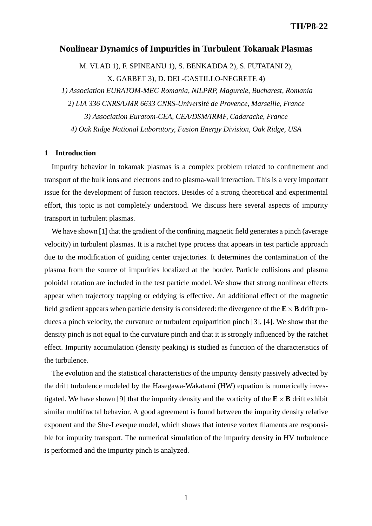## **Nonlinear Dynamics of Impurities in Turbulent Tokamak Plasmas**

M. VLAD 1), F. SPINEANU 1), S. BENKADDA 2), S. FUTATANI 2), X. GARBET 3), D. DEL-CASTILLO-NEGRETE 4) *1) Association EURATOM-MEC Romania, NILPRP, Magurele, Bucharest, Romania 2) LIA 336 CNRS/UMR 6633 CNRS-Université de Provence, Marseille, France*

*3) Association Euratom-CEA, CEA/DSM/IRMF, Cadarache, France*

*4) Oak Ridge National Laboratory, Fusion Energy Division, Oak Ridge, USA*

## **1 Introduction**

Impurity behavior in tokamak plasmas is a complex problem related to confinement and transport of the bulk ions and electrons and to plasma-wall interaction. This is a very important issue for the development of fusion reactors. Besides of a strong theoretical and experimental effort, this topic is not completely understood. We discuss here several aspects of impurity transport in turbulent plasmas.

We have shown [1] that the gradient of the confining magnetic field generates a pinch (average velocity) in turbulent plasmas. It is a ratchet type process that appears in test particle approach due to the modification of guiding center trajectories. It determines the contamination of the plasma from the source of impurities localized at the border. Particle collisions and plasma poloidal rotation are included in the test particle model. We show that strong nonlinear effects appear when trajectory trapping or eddying is effective. An additional effect of the magnetic field gradient appears when particle density is considered: the divergence of the  $\mathbf{E} \times \mathbf{B}$  drift produces a pinch velocity, the curvature or turbulent equipartition pinch [3], [4]. We show that the density pinch is not equal to the curvature pinch and that it is strongly influenced by the ratchet effect. Impurity accumulation (density peaking) is studied as function of the characteristics of the turbulence.

The evolution and the statistical characteristics of the impurity density passively advected by the drift turbulence modeled by the Hasegawa-Wakatami (HW) equation is numerically investigated. We have shown [9] that the impurity density and the vorticity of the  $\mathbf{E} \times \mathbf{B}$  drift exhibit similar multifractal behavior. A good agreement is found between the impurity density relative exponent and the She-Leveque model, which shows that intense vortex filaments are responsible for impurity transport. The numerical simulation of the impurity density in HV turbulence is performed and the impurity pinch is analyzed.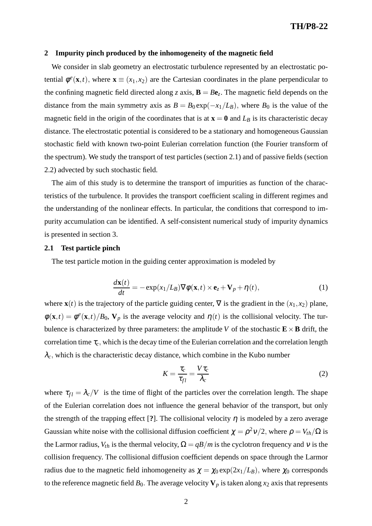#### **2 Impurity pinch produced by the inhomogeneity of the magnetic field**

We consider in slab geometry an electrostatic turbulence represented by an electrostatic potential  $\phi^e$ (**x**,*t*), where **x**  $\equiv$  (*x*<sub>1</sub>,*x*<sub>2</sub>) are the Cartesian coordinates in the plane perpendicular to the confining magnetic field directed along *z* axis,  $\mathbf{B} = B\mathbf{e}_z$ . The magnetic field depends on the distance from the main symmetry axis as  $B = B_0 \exp(-x_1/L_B)$ , where  $B_0$  is the value of the magnetic field in the origin of the coordinates that is at  $\mathbf{x} = \mathbf{0}$  and  $L_B$  is its characteristic decay distance. The electrostatic potential is considered to be a stationary and homogeneous Gaussian stochastic field with known two-point Eulerian correlation function (the Fourier transform of the spectrum). We study the transport of test particles (section 2.1) and of passive fields (section 2.2) advected by such stochastic field.

The aim of this study is to determine the transport of impurities as function of the characteristics of the turbulence. It provides the transport coefficient scaling in different regimes and the understanding of the nonlinear effects. In particular, the conditions that correspond to impurity accumulation can be identified. A self-consistent numerical study of impurity dynamics is presented in section 3.

### **2.1 Test particle pinch**

The test particle motion in the guiding center approximation is modeled by

$$
\frac{d\mathbf{x}(t)}{dt} = -\exp(x_1/L_B)\nabla\phi(\mathbf{x},t) \times \mathbf{e}_z + \mathbf{V}_p + \eta(t),
$$
\n(1)

where  $\mathbf{x}(t)$  is the trajectory of the particle guiding center,  $\nabla$  is the gradient in the  $(x_1, x_2)$  plane,  $\phi(\mathbf{x},t) = \phi^e(\mathbf{x},t)/B_0$ ,  $\mathbf{V}_p$  is the average velocity and  $\eta(t)$  is the collisional velocity. The turbulence is characterized by three parameters: the amplitude *V* of the stochastic  $\mathbf{E} \times \mathbf{B}$  drift, the correlation time  $\tau_c$ , which is the decay time of the Eulerian correlation and the correlation length  $\lambda_c$ , which is the characteristic decay distance, which combine in the Kubo number

$$
K = \frac{\tau_c}{\tau_{fl}} = \frac{V \tau_c}{\lambda_c} \tag{2}
$$

where  $\tau_{fl} = \lambda_c/V$  is the time of flight of the particles over the correlation length. The shape of the Eulerian correlation does not influence the general behavior of the transport, but only the strength of the trapping effect [?]. The collisional velocity  $\eta$  is modeled by a zero average Gaussian white noise with the collisional diffusion coefficient  $\chi = \rho^2 v/2$ , where  $\rho = V_{th}/\Omega$  is the Larmor radius,  $V_{th}$  is the thermal velocity,  $\Omega = qB/m$  is the cyclotron frequency and v is the collision frequency. The collisional diffusion coefficient depends on space through the Larmor radius due to the magnetic field inhomogeneity as  $\chi = \chi_0 \exp(2x_1/L_B)$ , where  $\chi_0$  corresponds to the reference magnetic field  $B_0$ . The average velocity  $V_p$  is taken along  $x_2$  axis that represents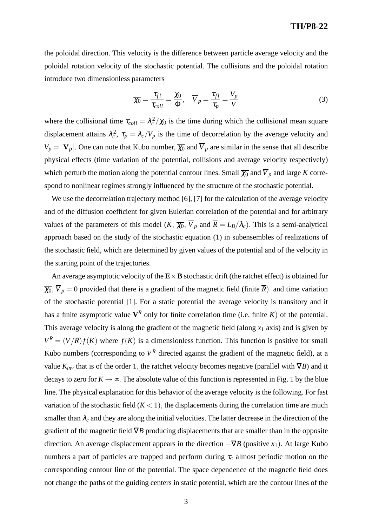# **TH/P8-22**

the poloidal direction. This velocity is the difference between particle average velocity and the poloidal rotation velocity of the stochastic potential. The collisions and the poloidal rotation introduce two dimensionless parameters

$$
\overline{\chi_0} = \frac{\tau_{fl}}{\tau_{coll}} = \frac{\chi_0}{\Phi}, \quad \overline{V}_p = \frac{\tau_{fl}}{\tau_p} = \frac{V_p}{V}
$$
(3)

where the collisional time  $\tau_{coll} = \lambda_c^2/\chi_0$  is the time during which the collisional mean square displacement attains  $\lambda_c^2$ ,  $\tau_p = \lambda_c/V_p$  is the time of decorrelation by the average velocity and  $V_p = |\mathbf{V}_p|$ . One can note that Kubo number,  $\overline{\chi_0}$  and  $\overline{V}_p$  are similar in the sense that all describe physical effects (time variation of the potential, collisions and average velocity respectively) which perturb the motion along the potential contour lines. Small  $\overline{\chi_0}$  and  $\overline{V}_p$  and large *K* correspond to nonlinear regimes strongly influenced by the structure of the stochastic potential.

We use the decorrelation trajectory method [6], [7] for the calculation of the average velocity and of the diffusion coefficient for given Eulerian correlation of the potential and for arbitrary values of the parameters of this model  $(K, \overline{\chi_0}, \overline{V}_p$  and  $\overline{R} = L_B/\lambda_c$ ). This is a semi-analytical approach based on the study of the stochastic equation (1) in subensembles of realizations of the stochastic field, which are determined by given values of the potential and of the velocity in the starting point of the trajectories.

An average asymptotic velocity of the  $\mathbf{E} \times \mathbf{B}$  stochastic drift (the ratchet effect) is obtained for  $\overline{\chi_0}$ ,  $\overline{V}_p = 0$  provided that there is a gradient of the magnetic field (finite  $\overline{R}$ ) and time variation of the stochastic potential [1]. For a static potential the average velocity is transitory and it has a finite asymptotic value  $V^R$  only for finite correlation time (i.e. finite  $K$ ) of the potential. This average velocity is along the gradient of the magnetic field (along  $x_1$  axis) and is given by  $V^R = (V/\overline{R})f(K)$  where  $f(K)$  is a dimensionless function. This function is positive for small Kubo numbers (corresponding to  $V^R$  directed against the gradient of the magnetic field), at a value *Kinv* that is of the order 1, the ratchet velocity becomes negative (parallel with ∇*B*) and it decays to zero for  $K \rightarrow \infty$ . The absolute value of this function is represented in Fig. 1 by the blue line. The physical explanation for this behavior of the average velocity is the following. For fast variation of the stochastic field  $(K < 1)$ , the displacements during the correlation time are much smaller than  $\lambda_c$  and they are along the initial velocities. The latter decrease in the direction of the gradient of the magnetic field ∇*B* producing displacements that are smaller than in the opposite direction. An average displacement appears in the direction  $-\nabla B$  (positive *x*<sub>1</sub>). At large Kubo numbers a part of particles are trapped and perform during <sup>τ</sup>*<sup>c</sup>* almost periodic motion on the corresponding contour line of the potential. The space dependence of the magnetic field does not change the paths of the guiding centers in static potential, which are the contour lines of the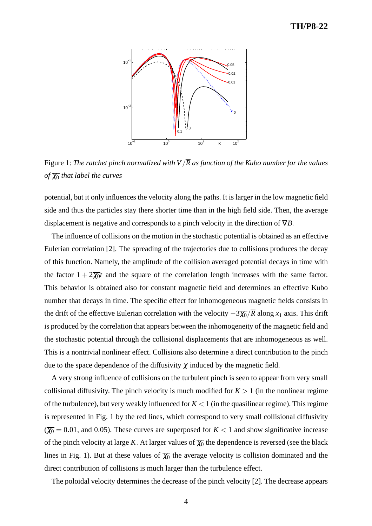# **TH/P8-22**



Figure 1: *The ratchet pinch normalized with V*/*R as function of the Kubo number for the values of*  $\overline{\chi_0}$  *that label the curves* 

potential, but it only influences the velocity along the paths. It is larger in the low magnetic field side and thus the particles stay there shorter time than in the high field side. Then, the average displacement is negative and corresponds to a pinch velocity in the direction of ∇*B*.

The influence of collisions on the motion in the stochastic potential is obtained as an effective Eulerian correlation [2]. The spreading of the trajectories due to collisions produces the decay of this function. Namely, the amplitude of the collision averaged potential decays in time with the factor  $1 + 2\overline{\chi_0}t$  and the square of the correlation length increases with the same factor. This behavior is obtained also for constant magnetic field and determines an effective Kubo number that decays in time. The specific effect for inhomogeneous magnetic fields consists in the drift of the effective Eulerian correlation with the velocity  $-\frac{3\chi_0}{R}$  along *x*<sub>1</sub> axis. This drift is produced by the correlation that appears between the inhomogeneity of the magnetic field and the stochastic potential through the collisional displacements that are inhomogeneous as well. This is a nontrivial nonlinear effect. Collisions also determine a direct contribution to the pinch due to the space dependence of the diffusivity  $\chi$  induced by the magnetic field.

A very strong influence of collisions on the turbulent pinch is seen to appear from very small collisional diffusivity. The pinch velocity is much modified for  $K > 1$  (in the nonlinear regime of the turbulence), but very weakly influenced for  $K < 1$  (in the quasilinear regime). This regime is represented in Fig. 1 by the red lines, which correspond to very small collisional diffusivity  $(\overline{\chi_0} = 0.01, \text{ and } 0.05)$ . These curves are superposed for  $K < 1$  and show significative increase of the pinch velocity at large *K*. At larger values of  $\overline{\chi_0}$  the dependence is reversed (see the black lines in Fig. 1). But at these values of  $\overline{\chi_0}$  the average velocity is collision dominated and the direct contribution of collisions is much larger than the turbulence effect.

The poloidal velocity determines the decrease of the pinch velocity [2]. The decrease appears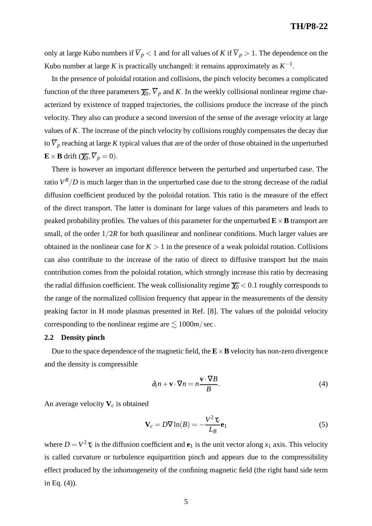only at large Kubo numbers if  $\overline{V}_p < 1$  and for all values of *K* if  $\overline{V}_p > 1$ . The dependence on the Kubo number at large *K* is practically unchanged: it remains approximately as  $K^{-1}$ .

In the presence of poloidal rotation and collisions, the pinch velocity becomes a complicated function of the three parameters  $\overline{\chi_0}$ ,  $\overline{V}_p$  and *K*. In the weekly collisional nonlinear regime characterized by existence of trapped trajectories, the collisions produce the increase of the pinch velocity. They also can produce a second inversion of the sense of the average velocity at large values of *K*. The increase of the pinch velocity by collisions roughly compensates the decay due to  $\overline{V}_p$  reaching at large *K* typical values that are of the order of those obtained in the unperturbed  $\mathbf{E} \times \mathbf{B}$  drift  $(\overline{\chi_0}, \overline{V}_p = 0)$ .

There is however an important difference between the perturbed and unperturbed case. The ratio  $V^R/D$  is much larger than in the unperturbed case due to the strong decrease of the radial diffusion coefficient produced by the poloidal rotation. This ratio is the measure of the effect of the direct transport. The latter is dominant for large values of this parameters and leads to peaked probability profiles. The values of this parameter for the unperturbed  $\mathbf{E} \times \mathbf{B}$  transport are small, of the order  $1/2R$  for both quasilinear and nonlinear conditions. Much larger values are obtained in the nonlinear case for  $K > 1$  in the presence of a weak poloidal rotation. Collisions can also contribute to the increase of the ratio of direct to diffusive transport but the main contribution comes from the poloidal rotation, which strongly increase this ratio by decreasing the radial diffusion coefficient. The weak collisionality regime  $\overline{\chi_0}$  < 0.1 roughly corresponds to the range of the normalized collision frequency that appear in the measurements of the density peaking factor in H mode plasmas presented in Ref. [8]. The values of the poloidal velocity corresponding to the nonlinear regime are  $\leq 1000m/sec$ .

## **2.2 Density pinch**

Due to the space dependence of the magnetic field, the  $\mathbf{E} \times \mathbf{B}$  velocity has non-zero divergence and the density is compressible

$$
\partial_t n + \mathbf{v} \cdot \nabla n = n \frac{\mathbf{v} \cdot \nabla B}{B}.
$$
 (4)

An average velocity **V***<sup>c</sup>* is obtained

$$
\mathbf{V}_c = D \nabla \ln(B) = -\frac{V^2 \tau_c}{L_B} \mathbf{e}_1 \tag{5}
$$

where  $D = V^2 \tau_c$  is the diffusion coefficient and  $\mathbf{e}_1$  is the unit vector along  $x_1$  axis. This velocity is called curvature or turbulence equipartition pinch and appears due to the compressibility effect produced by the inhomogeneity of the confining magnetic field (the right hand side term in Eq. (4)).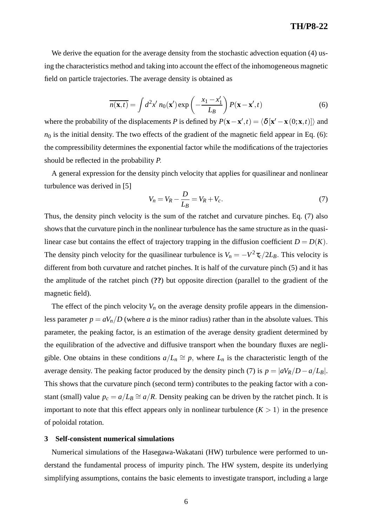We derive the equation for the average density from the stochastic advection equation (4) using the characteristics method and taking into account the effect of the inhomogeneous magnetic field on particle trajectories. The average density is obtained as

$$
\overline{n(\mathbf{x},t)} = \int d^2x' \, n_0(\mathbf{x}') \exp\left(-\frac{x_1 - x'_1}{L_B}\right) P(\mathbf{x} - \mathbf{x}',t) \tag{6}
$$

where the probability of the displacements *P* is defined by  $P(\mathbf{x} - \mathbf{x}', t) = \langle \delta | \mathbf{x}' - \mathbf{x}(0; \mathbf{x}, t) | \rangle$  and  $n_0$  is the initial density. The two effects of the gradient of the magnetic field appear in Eq. (6): the compressibility determines the exponential factor while the modifications of the trajectories should be reflected in the probability *P*.

A general expression for the density pinch velocity that applies for quasilinear and nonlinear turbulence was derived in [5]

$$
V_n = V_R - \frac{D}{L_B} = V_R + V_c. \tag{7}
$$

Thus, the density pinch velocity is the sum of the ratchet and curvature pinches. Eq. (7) also shows that the curvature pinch in the nonlinear turbulence has the same structure as in the quasilinear case but contains the effect of trajectory trapping in the diffusion coefficient  $D = D(K)$ . The density pinch velocity for the quasilinear turbulence is  $V_n = -V^2 \tau_c / 2L_B$ . This velocity is different from both curvature and ratchet pinches. It is half of the curvature pinch (5) and it has the amplitude of the ratchet pinch (**??**) but opposite direction (parallel to the gradient of the magnetic field).

The effect of the pinch velocity  $V_n$  on the average density profile appears in the dimensionless parameter  $p = aV_n/D$  (where *a* is the minor radius) rather than in the absolute values. This parameter, the peaking factor, is an estimation of the average density gradient determined by the equilibration of the advective and diffusive transport when the boundary fluxes are negligible. One obtains in these conditions  $a/L_n \cong p$ , where  $L_n$  is the characteristic length of the average density. The peaking factor produced by the density pinch (7) is  $p = |aV_R/D - a/L_B|$ . This shows that the curvature pinch (second term) contributes to the peaking factor with a constant (small) value  $p_c = a/L_B \cong a/R$ . Density peaking can be driven by the ratchet pinch. It is important to note that this effect appears only in nonlinear turbulence  $(K > 1)$  in the presence of poloidal rotation.

### **3 Self-consistent numerical simulations**

Numerical simulations of the Hasegawa-Wakatani (HW) turbulence were performed to understand the fundamental process of impurity pinch. The HW system, despite its underlying simplifying assumptions, contains the basic elements to investigate transport, including a large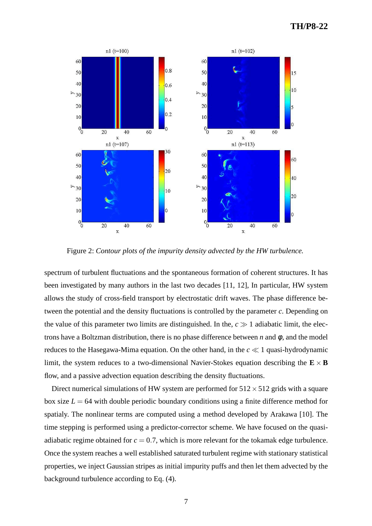

Figure 2: *Contour plots of the impurity density advected by the HW turbulence.*

spectrum of turbulent fluctuations and the spontaneous formation of coherent structures. It has been investigated by many authors in the last two decades [11, 12], In particular, HW system allows the study of cross-field transport by electrostatic drift waves. The phase difference between the potential and the density fluctuations is controlled by the parameter *c*. Depending on the value of this parameter two limits are distinguished. In the,  $c \gg 1$  adiabatic limit, the electrons have a Boltzman distribution, there is no phase difference between *n* and  $\phi$ , and the model reduces to the Hasegawa-Mima equation. On the other hand, in the  $c \ll 1$  quasi-hydrodynamic limit, the system reduces to a two-dimensional Navier-Stokes equation describing the  $\mathbf{E} \times \mathbf{B}$ flow, and a passive advection equation describing the density fluctuations.

Direct numerical simulations of HW system are performed for  $512 \times 512$  grids with a square box size  $L = 64$  with double periodic boundary conditions using a finite difference method for spatialy. The nonlinear terms are computed using a method developed by Arakawa [10]. The time stepping is performed using a predictor-corrector scheme. We have focused on the quasiadiabatic regime obtained for  $c = 0.7$ , which is more relevant for the tokamak edge turbulence. Once the system reaches a well established saturated turbulent regime with stationary statistical properties, we inject Gaussian stripes as initial impurity puffs and then let them advected by the background turbulence according to Eq. (4).